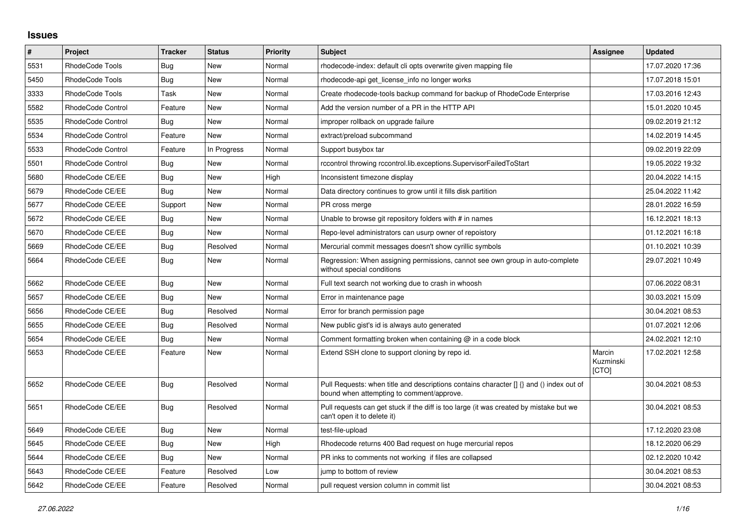## **Issues**

| #    | Project                  | <b>Tracker</b> | <b>Status</b> | <b>Priority</b> | <b>Subject</b>                                                                                                                       | Assignee                     | <b>Updated</b>   |
|------|--------------------------|----------------|---------------|-----------------|--------------------------------------------------------------------------------------------------------------------------------------|------------------------------|------------------|
| 5531 | RhodeCode Tools          | Bug            | <b>New</b>    | Normal          | rhodecode-index: default cli opts overwrite given mapping file                                                                       |                              | 17.07.2020 17:36 |
| 5450 | RhodeCode Tools          | <b>Bug</b>     | New           | Normal          | rhodecode-api get license info no longer works                                                                                       |                              | 17.07.2018 15:01 |
| 3333 | RhodeCode Tools          | Task           | <b>New</b>    | Normal          | Create rhodecode-tools backup command for backup of RhodeCode Enterprise                                                             |                              | 17.03.2016 12:43 |
| 5582 | <b>RhodeCode Control</b> | Feature        | New           | Normal          | Add the version number of a PR in the HTTP API                                                                                       |                              | 15.01.2020 10:45 |
| 5535 | RhodeCode Control        | <b>Bug</b>     | <b>New</b>    | Normal          | improper rollback on upgrade failure                                                                                                 |                              | 09.02.2019 21:12 |
| 5534 | <b>RhodeCode Control</b> | Feature        | <b>New</b>    | Normal          | extract/preload subcommand                                                                                                           |                              | 14.02.2019 14:45 |
| 5533 | <b>RhodeCode Control</b> | Feature        | In Progress   | Normal          | Support busybox tar                                                                                                                  |                              | 09.02.2019 22:09 |
| 5501 | RhodeCode Control        | Bug            | <b>New</b>    | Normal          | rccontrol throwing rccontrol.lib.exceptions.SupervisorFailedToStart                                                                  |                              | 19.05.2022 19:32 |
| 5680 | RhodeCode CE/EE          | Bug            | <b>New</b>    | High            | Inconsistent timezone display                                                                                                        |                              | 20.04.2022 14:15 |
| 5679 | RhodeCode CE/EE          | Bug            | <b>New</b>    | Normal          | Data directory continues to grow until it fills disk partition                                                                       |                              | 25.04.2022 11:42 |
| 5677 | RhodeCode CE/EE          | Support        | New           | Normal          | PR cross merge                                                                                                                       |                              | 28.01.2022 16:59 |
| 5672 | RhodeCode CE/EE          | <b>Bug</b>     | <b>New</b>    | Normal          | Unable to browse git repository folders with # in names                                                                              |                              | 16.12.2021 18:13 |
| 5670 | RhodeCode CE/EE          | Bug            | <b>New</b>    | Normal          | Repo-level administrators can usurp owner of repoistory                                                                              |                              | 01.12.2021 16:18 |
| 5669 | RhodeCode CE/EE          | Bug            | Resolved      | Normal          | Mercurial commit messages doesn't show cyrillic symbols                                                                              |                              | 01.10.2021 10:39 |
| 5664 | RhodeCode CE/EE          | Bug            | New           | Normal          | Regression: When assigning permissions, cannot see own group in auto-complete<br>without special conditions                          |                              | 29.07.2021 10:49 |
| 5662 | RhodeCode CE/EE          | Bug            | <b>New</b>    | Normal          | Full text search not working due to crash in whoosh                                                                                  |                              | 07.06.2022 08:31 |
| 5657 | RhodeCode CE/EE          | Bug            | <b>New</b>    | Normal          | Error in maintenance page                                                                                                            |                              | 30.03.2021 15:09 |
| 5656 | RhodeCode CE/EE          | <b>Bug</b>     | Resolved      | Normal          | Error for branch permission page                                                                                                     |                              | 30.04.2021 08:53 |
| 5655 | RhodeCode CE/EE          | <b>Bug</b>     | Resolved      | Normal          | New public gist's id is always auto generated                                                                                        |                              | 01.07.2021 12:06 |
| 5654 | RhodeCode CE/EE          | Bug            | New           | Normal          | Comment formatting broken when containing @ in a code block                                                                          |                              | 24.02.2021 12:10 |
| 5653 | RhodeCode CE/EE          | Feature        | <b>New</b>    | Normal          | Extend SSH clone to support cloning by repo id.                                                                                      | Marcin<br>Kuzminski<br>[CTO] | 17.02.2021 12:58 |
| 5652 | RhodeCode CE/EE          | <b>Bug</b>     | Resolved      | Normal          | Pull Requests: when title and descriptions contains character [] {} and () index out of<br>bound when attempting to comment/approve. |                              | 30.04.2021 08:53 |
| 5651 | RhodeCode CE/EE          | Bug            | Resolved      | Normal          | Pull requests can get stuck if the diff is too large (it was created by mistake but we<br>can't open it to delete it)                |                              | 30.04.2021 08:53 |
| 5649 | RhodeCode CE/EE          | Bug            | <b>New</b>    | Normal          | test-file-upload                                                                                                                     |                              | 17.12.2020 23:08 |
| 5645 | RhodeCode CE/EE          | Bug            | <b>New</b>    | High            | Rhodecode returns 400 Bad request on huge mercurial repos                                                                            |                              | 18.12.2020 06:29 |
| 5644 | RhodeCode CE/EE          | <b>Bug</b>     | New           | Normal          | PR inks to comments not working if files are collapsed                                                                               |                              | 02.12.2020 10:42 |
| 5643 | RhodeCode CE/EE          | Feature        | Resolved      | Low             | jump to bottom of review                                                                                                             |                              | 30.04.2021 08:53 |
| 5642 | RhodeCode CE/EE          | Feature        | Resolved      | Normal          | pull request version column in commit list                                                                                           |                              | 30.04.2021 08:53 |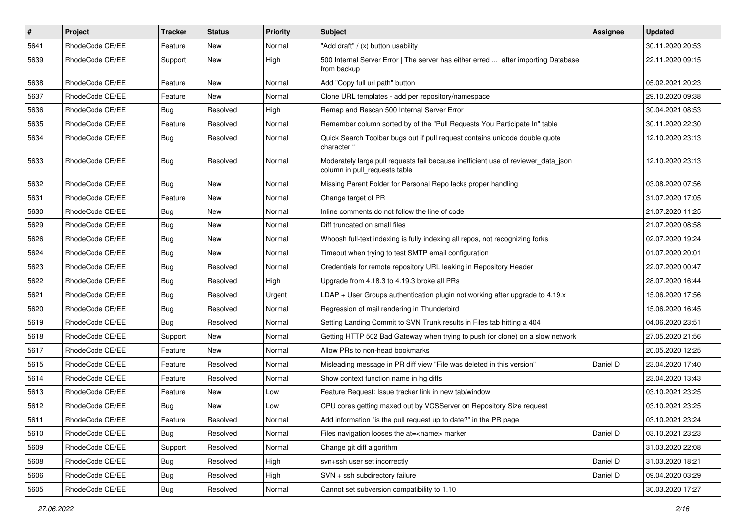| $\sharp$ | Project         | <b>Tracker</b> | <b>Status</b> | <b>Priority</b> | <b>Subject</b>                                                                                                     | Assignee | <b>Updated</b>   |
|----------|-----------------|----------------|---------------|-----------------|--------------------------------------------------------------------------------------------------------------------|----------|------------------|
| 5641     | RhodeCode CE/EE | Feature        | New           | Normal          | "Add draft" / (x) button usability                                                                                 |          | 30.11.2020 20:53 |
| 5639     | RhodeCode CE/EE | Support        | New           | High            | 500 Internal Server Error   The server has either erred  after importing Database<br>from backup                   |          | 22.11.2020 09:15 |
| 5638     | RhodeCode CE/EE | Feature        | New           | Normal          | Add "Copy full url path" button                                                                                    |          | 05.02.2021 20:23 |
| 5637     | RhodeCode CE/EE | Feature        | New           | Normal          | Clone URL templates - add per repository/namespace                                                                 |          | 29.10.2020 09:38 |
| 5636     | RhodeCode CE/EE | Bug            | Resolved      | High            | Remap and Rescan 500 Internal Server Error                                                                         |          | 30.04.2021 08:53 |
| 5635     | RhodeCode CE/EE | Feature        | Resolved      | Normal          | Remember column sorted by of the "Pull Requests You Participate In" table                                          |          | 30.11.2020 22:30 |
| 5634     | RhodeCode CE/EE | <b>Bug</b>     | Resolved      | Normal          | Quick Search Toolbar bugs out if pull request contains unicode double quote<br>character "                         |          | 12.10.2020 23:13 |
| 5633     | RhodeCode CE/EE | Bug            | Resolved      | Normal          | Moderately large pull requests fail because inefficient use of reviewer_data_json<br>column in pull requests table |          | 12.10.2020 23:13 |
| 5632     | RhodeCode CE/EE | Bug            | New           | Normal          | Missing Parent Folder for Personal Repo lacks proper handling                                                      |          | 03.08.2020 07:56 |
| 5631     | RhodeCode CE/EE | Feature        | New           | Normal          | Change target of PR                                                                                                |          | 31.07.2020 17:05 |
| 5630     | RhodeCode CE/EE | Bug            | New           | Normal          | Inline comments do not follow the line of code                                                                     |          | 21.07.2020 11:25 |
| 5629     | RhodeCode CE/EE | Bug            | New           | Normal          | Diff truncated on small files                                                                                      |          | 21.07.2020 08:58 |
| 5626     | RhodeCode CE/EE | <b>Bug</b>     | New           | Normal          | Whoosh full-text indexing is fully indexing all repos, not recognizing forks                                       |          | 02.07.2020 19:24 |
| 5624     | RhodeCode CE/EE | Bug            | New           | Normal          | Timeout when trying to test SMTP email configuration                                                               |          | 01.07.2020 20:01 |
| 5623     | RhodeCode CE/EE | <b>Bug</b>     | Resolved      | Normal          | Credentials for remote repository URL leaking in Repository Header                                                 |          | 22.07.2020 00:47 |
| 5622     | RhodeCode CE/EE | Bug            | Resolved      | High            | Upgrade from 4.18.3 to 4.19.3 broke all PRs                                                                        |          | 28.07.2020 16:44 |
| 5621     | RhodeCode CE/EE | <b>Bug</b>     | Resolved      | Urgent          | $LDAP + User Groups authentication playing not working after upgrade to 4.19.x$                                    |          | 15.06.2020 17:56 |
| 5620     | RhodeCode CE/EE | Bug            | Resolved      | Normal          | Regression of mail rendering in Thunderbird                                                                        |          | 15.06.2020 16:45 |
| 5619     | RhodeCode CE/EE | Bug            | Resolved      | Normal          | Setting Landing Commit to SVN Trunk results in Files tab hitting a 404                                             |          | 04.06.2020 23:51 |
| 5618     | RhodeCode CE/EE | Support        | New           | Normal          | Getting HTTP 502 Bad Gateway when trying to push (or clone) on a slow network                                      |          | 27.05.2020 21:56 |
| 5617     | RhodeCode CE/EE | Feature        | New           | Normal          | Allow PRs to non-head bookmarks                                                                                    |          | 20.05.2020 12:25 |
| 5615     | RhodeCode CE/EE | Feature        | Resolved      | Normal          | Misleading message in PR diff view "File was deleted in this version"                                              | Daniel D | 23.04.2020 17:40 |
| 5614     | RhodeCode CE/EE | Feature        | Resolved      | Normal          | Show context function name in hg diffs                                                                             |          | 23.04.2020 13:43 |
| 5613     | RhodeCode CE/EE | Feature        | New           | Low             | Feature Request: Issue tracker link in new tab/window                                                              |          | 03.10.2021 23:25 |
| 5612     | RhodeCode CE/EE | Bug            | New           | Low             | CPU cores getting maxed out by VCSServer on Repository Size request                                                |          | 03.10.2021 23:25 |
| 5611     | RhodeCode CE/EE | Feature        | Resolved      | Normal          | Add information "is the pull request up to date?" in the PR page                                                   |          | 03.10.2021 23:24 |
| 5610     | RhodeCode CE/EE | Bug            | Resolved      | Normal          | Files navigation looses the at= <name> marker</name>                                                               | Daniel D | 03.10.2021 23:23 |
| 5609     | RhodeCode CE/EE | Support        | Resolved      | Normal          | Change git diff algorithm                                                                                          |          | 31.03.2020 22:08 |
| 5608     | RhodeCode CE/EE | <b>Bug</b>     | Resolved      | High            | svn+ssh user set incorrectly                                                                                       | Daniel D | 31.03.2020 18:21 |
| 5606     | RhodeCode CE/EE | Bug            | Resolved      | High            | SVN + ssh subdirectory failure                                                                                     | Daniel D | 09.04.2020 03:29 |
| 5605     | RhodeCode CE/EE | Bug            | Resolved      | Normal          | Cannot set subversion compatibility to 1.10                                                                        |          | 30.03.2020 17:27 |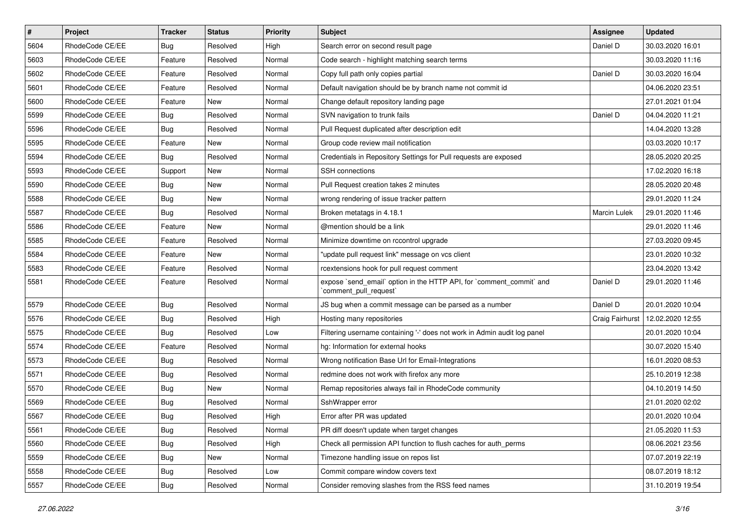| $\vert$ # | Project         | <b>Tracker</b> | <b>Status</b> | <b>Priority</b> | Subject                                                                                        | Assignee        | <b>Updated</b>   |
|-----------|-----------------|----------------|---------------|-----------------|------------------------------------------------------------------------------------------------|-----------------|------------------|
| 5604      | RhodeCode CE/EE | <b>Bug</b>     | Resolved      | High            | Search error on second result page                                                             | Daniel D        | 30.03.2020 16:01 |
| 5603      | RhodeCode CE/EE | Feature        | Resolved      | Normal          | Code search - highlight matching search terms                                                  |                 | 30.03.2020 11:16 |
| 5602      | RhodeCode CE/EE | Feature        | Resolved      | Normal          | Copy full path only copies partial                                                             | Daniel D        | 30.03.2020 16:04 |
| 5601      | RhodeCode CE/EE | Feature        | Resolved      | Normal          | Default navigation should be by branch name not commit id                                      |                 | 04.06.2020 23:51 |
| 5600      | RhodeCode CE/EE | Feature        | New           | Normal          | Change default repository landing page                                                         |                 | 27.01.2021 01:04 |
| 5599      | RhodeCode CE/EE | <b>Bug</b>     | Resolved      | Normal          | SVN navigation to trunk fails                                                                  | Daniel D        | 04.04.2020 11:21 |
| 5596      | RhodeCode CE/EE | <b>Bug</b>     | Resolved      | Normal          | Pull Request duplicated after description edit                                                 |                 | 14.04.2020 13:28 |
| 5595      | RhodeCode CE/EE | Feature        | New           | Normal          | Group code review mail notification                                                            |                 | 03.03.2020 10:17 |
| 5594      | RhodeCode CE/EE | <b>Bug</b>     | Resolved      | Normal          | Credentials in Repository Settings for Pull requests are exposed                               |                 | 28.05.2020 20:25 |
| 5593      | RhodeCode CE/EE | Support        | New           | Normal          | SSH connections                                                                                |                 | 17.02.2020 16:18 |
| 5590      | RhodeCode CE/EE | <b>Bug</b>     | New           | Normal          | Pull Request creation takes 2 minutes                                                          |                 | 28.05.2020 20:48 |
| 5588      | RhodeCode CE/EE | <b>Bug</b>     | New           | Normal          | wrong rendering of issue tracker pattern                                                       |                 | 29.01.2020 11:24 |
| 5587      | RhodeCode CE/EE | <b>Bug</b>     | Resolved      | Normal          | Broken metatags in 4.18.1                                                                      | Marcin Lulek    | 29.01.2020 11:46 |
| 5586      | RhodeCode CE/EE | Feature        | New           | Normal          | @mention should be a link                                                                      |                 | 29.01.2020 11:46 |
| 5585      | RhodeCode CE/EE | Feature        | Resolved      | Normal          | Minimize downtime on rccontrol upgrade                                                         |                 | 27.03.2020 09:45 |
| 5584      | RhodeCode CE/EE | Feature        | New           | Normal          | "update pull request link" message on vcs client                                               |                 | 23.01.2020 10:32 |
| 5583      | RhodeCode CE/EE | Feature        | Resolved      | Normal          | rcextensions hook for pull request comment                                                     |                 | 23.04.2020 13:42 |
| 5581      | RhodeCode CE/EE | Feature        | Resolved      | Normal          | expose `send_email` option in the HTTP API, for `comment_commit` and<br>`comment pull request` | Daniel D        | 29.01.2020 11:46 |
| 5579      | RhodeCode CE/EE | Bug            | Resolved      | Normal          | JS bug when a commit message can be parsed as a number                                         | Daniel D        | 20.01.2020 10:04 |
| 5576      | RhodeCode CE/EE | <b>Bug</b>     | Resolved      | High            | Hosting many repositories                                                                      | Craig Fairhurst | 12.02.2020 12:55 |
| 5575      | RhodeCode CE/EE | Bug            | Resolved      | Low             | Filtering username containing '-' does not work in Admin audit log panel                       |                 | 20.01.2020 10:04 |
| 5574      | RhodeCode CE/EE | Feature        | Resolved      | Normal          | hg: Information for external hooks                                                             |                 | 30.07.2020 15:40 |
| 5573      | RhodeCode CE/EE | <b>Bug</b>     | Resolved      | Normal          | Wrong notification Base Url for Email-Integrations                                             |                 | 16.01.2020 08:53 |
| 5571      | RhodeCode CE/EE | <b>Bug</b>     | Resolved      | Normal          | redmine does not work with firefox any more                                                    |                 | 25.10.2019 12:38 |
| 5570      | RhodeCode CE/EE | <b>Bug</b>     | New           | Normal          | Remap repositories always fail in RhodeCode community                                          |                 | 04.10.2019 14:50 |
| 5569      | RhodeCode CE/EE | <b>Bug</b>     | Resolved      | Normal          | SshWrapper error                                                                               |                 | 21.01.2020 02:02 |
| 5567      | RhodeCode CE/EE | <b>Bug</b>     | Resolved      | High            | Error after PR was updated                                                                     |                 | 20.01.2020 10:04 |
| 5561      | RhodeCode CE/EE | <b>Bug</b>     | Resolved      | Normal          | PR diff doesn't update when target changes                                                     |                 | 21.05.2020 11:53 |
| 5560      | RhodeCode CE/EE | <b>Bug</b>     | Resolved      | High            | Check all permission API function to flush caches for auth_perms                               |                 | 08.06.2021 23:56 |
| 5559      | RhodeCode CE/EE | <b>Bug</b>     | New           | Normal          | Timezone handling issue on repos list                                                          |                 | 07.07.2019 22:19 |
| 5558      | RhodeCode CE/EE | <b>Bug</b>     | Resolved      | Low             | Commit compare window covers text                                                              |                 | 08.07.2019 18:12 |
| 5557      | RhodeCode CE/EE | <b>Bug</b>     | Resolved      | Normal          | Consider removing slashes from the RSS feed names                                              |                 | 31.10.2019 19:54 |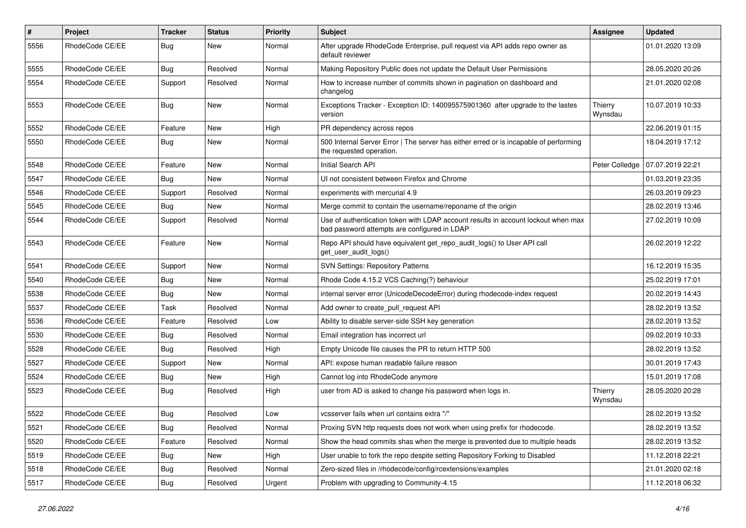| $\sharp$ | <b>Project</b>  | Tracker    | <b>Status</b> | <b>Priority</b> | Subject                                                                                                                           | Assignee           | <b>Updated</b>   |
|----------|-----------------|------------|---------------|-----------------|-----------------------------------------------------------------------------------------------------------------------------------|--------------------|------------------|
| 5556     | RhodeCode CE/EE | <b>Bug</b> | New           | Normal          | After upgrade RhodeCode Enterprise, pull request via API adds repo owner as<br>default reviewer                                   |                    | 01.01.2020 13:09 |
| 5555     | RhodeCode CE/EE | Bug        | Resolved      | Normal          | Making Repository Public does not update the Default User Permissions                                                             |                    | 28.05.2020 20:26 |
| 5554     | RhodeCode CE/EE | Support    | Resolved      | Normal          | How to increase number of commits shown in pagination on dashboard and<br>changelog                                               |                    | 21.01.2020 02:08 |
| 5553     | RhodeCode CE/EE | Bug        | <b>New</b>    | Normal          | Exceptions Tracker - Exception ID: 140095575901360 after upgrade to the lastes<br>version                                         | Thierry<br>Wynsdau | 10.07.2019 10:33 |
| 5552     | RhodeCode CE/EE | Feature    | <b>New</b>    | High            | PR dependency across repos                                                                                                        |                    | 22.06.2019 01:15 |
| 5550     | RhodeCode CE/EE | <b>Bug</b> | New           | Normal          | 500 Internal Server Error   The server has either erred or is incapable of performing<br>the requested operation.                 |                    | 18.04.2019 17:12 |
| 5548     | RhodeCode CE/EE | Feature    | New           | Normal          | Initial Search API                                                                                                                | Peter Colledge     | 07.07.2019 22:21 |
| 5547     | RhodeCode CE/EE | <b>Bug</b> | New           | Normal          | UI not consistent between Firefox and Chrome                                                                                      |                    | 01.03.2019 23:35 |
| 5546     | RhodeCode CE/EE | Support    | Resolved      | Normal          | experiments with mercurial 4.9                                                                                                    |                    | 26.03.2019 09:23 |
| 5545     | RhodeCode CE/EE | Bug        | New           | Normal          | Merge commit to contain the username/reponame of the origin                                                                       |                    | 28.02.2019 13:46 |
| 5544     | RhodeCode CE/EE | Support    | Resolved      | Normal          | Use of authentication token with LDAP account results in account lockout when max<br>bad password attempts are configured in LDAP |                    | 27.02.2019 10:09 |
| 5543     | RhodeCode CE/EE | Feature    | New           | Normal          | Repo API should have equivalent get_repo_audit_logs() to User API call<br>get_user_audit_logs()                                   |                    | 26.02.2019 12:22 |
| 5541     | RhodeCode CE/EE | Support    | New           | Normal          | <b>SVN Settings: Repository Patterns</b>                                                                                          |                    | 16.12.2019 15:35 |
| 5540     | RhodeCode CE/EE | Bug        | New           | Normal          | Rhode Code 4.15.2 VCS Caching(?) behaviour                                                                                        |                    | 25.02.2019 17:01 |
| 5538     | RhodeCode CE/EE | <b>Bug</b> | New           | Normal          | internal server error (UnicodeDecodeError) during rhodecode-index request                                                         |                    | 20.02.2019 14:43 |
| 5537     | RhodeCode CE/EE | Task       | Resolved      | Normal          | Add owner to create pull request API                                                                                              |                    | 28.02.2019 13:52 |
| 5536     | RhodeCode CE/EE | Feature    | Resolved      | Low             | Ability to disable server-side SSH key generation                                                                                 |                    | 28.02.2019 13:52 |
| 5530     | RhodeCode CE/EE | <b>Bug</b> | Resolved      | Normal          | Email integration has incorrect url                                                                                               |                    | 09.02.2019 10:33 |
| 5528     | RhodeCode CE/EE | <b>Bug</b> | Resolved      | High            | Empty Unicode file causes the PR to return HTTP 500                                                                               |                    | 28.02.2019 13:52 |
| 5527     | RhodeCode CE/EE | Support    | New           | Normal          | API: expose human readable failure reason                                                                                         |                    | 30.01.2019 17:43 |
| 5524     | RhodeCode CE/EE | Bug        | New           | High            | Cannot log into RhodeCode anymore                                                                                                 |                    | 15.01.2019 17:08 |
| 5523     | RhodeCode CE/EE | Bug        | Resolved      | High            | user from AD is asked to change his password when logs in.                                                                        | Thierry<br>Wynsdau | 28.05.2020 20:28 |
| 5522     | RhodeCode CE/EE | Bug        | Resolved      | Low             | vcsserver fails when url contains extra "/"                                                                                       |                    | 28.02.2019 13:52 |
| 5521     | RhodeCode CE/EE | Bug        | Resolved      | Normal          | Proxing SVN http requests does not work when using prefix for rhodecode.                                                          |                    | 28.02.2019 13:52 |
| 5520     | RhodeCode CE/EE | Feature    | Resolved      | Normal          | Show the head commits shas when the merge is prevented due to multiple heads                                                      |                    | 28.02.2019 13:52 |
| 5519     | RhodeCode CE/EE | <b>Bug</b> | New           | High            | User unable to fork the repo despite setting Repository Forking to Disabled                                                       |                    | 11.12.2018 22:21 |
| 5518     | RhodeCode CE/EE | Bug        | Resolved      | Normal          | Zero-sized files in /rhodecode/config/rcextensions/examples                                                                       |                    | 21.01.2020 02:18 |
| 5517     | RhodeCode CE/EE | <b>Bug</b> | Resolved      | Urgent          | Problem with upgrading to Community-4.15                                                                                          |                    | 11.12.2018 06:32 |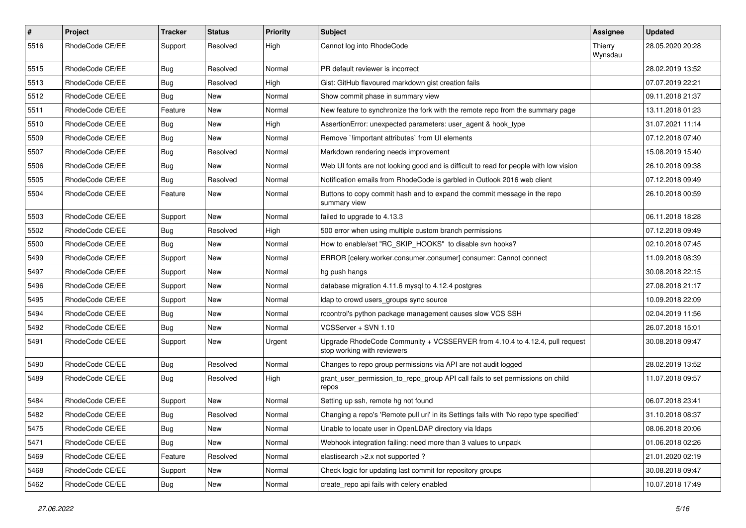| $\pmb{\#}$ | <b>Project</b>  | Tracker    | <b>Status</b> | <b>Priority</b> | Subject                                                                                                    | Assignee           | <b>Updated</b>   |
|------------|-----------------|------------|---------------|-----------------|------------------------------------------------------------------------------------------------------------|--------------------|------------------|
| 5516       | RhodeCode CE/EE | Support    | Resolved      | High            | Cannot log into RhodeCode                                                                                  | Thierry<br>Wynsdau | 28.05.2020 20:28 |
| 5515       | RhodeCode CE/EE | Bug        | Resolved      | Normal          | PR default reviewer is incorrect                                                                           |                    | 28.02.2019 13:52 |
| 5513       | RhodeCode CE/EE | <b>Bug</b> | Resolved      | High            | Gist: GitHub flavoured markdown gist creation fails                                                        |                    | 07.07.2019 22:21 |
| 5512       | RhodeCode CE/EE | Bug        | <b>New</b>    | Normal          | Show commit phase in summary view                                                                          |                    | 09.11.2018 21:37 |
| 5511       | RhodeCode CE/EE | Feature    | New           | Normal          | New feature to synchronize the fork with the remote repo from the summary page                             |                    | 13.11.2018 01:23 |
| 5510       | RhodeCode CE/EE | <b>Bug</b> | New           | High            | AssertionError: unexpected parameters: user agent & hook type                                              |                    | 31.07.2021 11:14 |
| 5509       | RhodeCode CE/EE | <b>Bug</b> | New           | Normal          | Remove `limportant attributes` from UI elements                                                            |                    | 07.12.2018 07:40 |
| 5507       | RhodeCode CE/EE | <b>Bug</b> | Resolved      | Normal          | Markdown rendering needs improvement                                                                       |                    | 15.08.2019 15:40 |
| 5506       | RhodeCode CE/EE | <b>Bug</b> | New           | Normal          | Web UI fonts are not looking good and is difficult to read for people with low vision                      |                    | 26.10.2018 09:38 |
| 5505       | RhodeCode CE/EE | <b>Bug</b> | Resolved      | Normal          | Notification emails from RhodeCode is garbled in Outlook 2016 web client                                   |                    | 07.12.2018 09:49 |
| 5504       | RhodeCode CE/EE | Feature    | New           | Normal          | Buttons to copy commit hash and to expand the commit message in the repo<br>summary view                   |                    | 26.10.2018 00:59 |
| 5503       | RhodeCode CE/EE | Support    | <b>New</b>    | Normal          | failed to upgrade to 4.13.3                                                                                |                    | 06.11.2018 18:28 |
| 5502       | RhodeCode CE/EE | <b>Bug</b> | Resolved      | High            | 500 error when using multiple custom branch permissions                                                    |                    | 07.12.2018 09:49 |
| 5500       | RhodeCode CE/EE | <b>Bug</b> | New           | Normal          | How to enable/set "RC_SKIP_HOOKS" to disable svn hooks?                                                    |                    | 02.10.2018 07:45 |
| 5499       | RhodeCode CE/EE | Support    | New           | Normal          | ERROR [celery.worker.consumer.consumer] consumer: Cannot connect                                           |                    | 11.09.2018 08:39 |
| 5497       | RhodeCode CE/EE | Support    | <b>New</b>    | Normal          | hg push hangs                                                                                              |                    | 30.08.2018 22:15 |
| 5496       | RhodeCode CE/EE | Support    | New           | Normal          | database migration 4.11.6 mysql to 4.12.4 postgres                                                         |                    | 27.08.2018 21:17 |
| 5495       | RhodeCode CE/EE | Support    | New           | Normal          | Idap to crowd users_groups sync source                                                                     |                    | 10.09.2018 22:09 |
| 5494       | RhodeCode CE/EE | Bug        | New           | Normal          | rccontrol's python package management causes slow VCS SSH                                                  |                    | 02.04.2019 11:56 |
| 5492       | RhodeCode CE/EE | <b>Bug</b> | New           | Normal          | VCSServer + SVN 1.10                                                                                       |                    | 26.07.2018 15:01 |
| 5491       | RhodeCode CE/EE | Support    | <b>New</b>    | Urgent          | Upgrade RhodeCode Community + VCSSERVER from 4.10.4 to 4.12.4, pull request<br>stop working with reviewers |                    | 30.08.2018 09:47 |
| 5490       | RhodeCode CE/EE | Bug        | Resolved      | Normal          | Changes to repo group permissions via API are not audit logged                                             |                    | 28.02.2019 13:52 |
| 5489       | RhodeCode CE/EE | Bug        | Resolved      | High            | grant_user_permission_to_repo_group API call fails to set permissions on child<br>repos                    |                    | 11.07.2018 09:57 |
| 5484       | RhodeCode CE/EE | Support    | <b>New</b>    | Normal          | Setting up ssh, remote hg not found                                                                        |                    | 06.07.2018 23:41 |
| 5482       | RhodeCode CE/EE | <b>Bug</b> | Resolved      | Normal          | Changing a repo's 'Remote pull uri' in its Settings fails with 'No repo type specified'                    |                    | 31.10.2018 08:37 |
| 5475       | RhodeCode CE/EE | Bug        | New           | Normal          | Unable to locate user in OpenLDAP directory via Idaps                                                      |                    | 08.06.2018 20:06 |
| 5471       | RhodeCode CE/EE | Bug        | New           | Normal          | Webhook integration failing: need more than 3 values to unpack                                             |                    | 01.06.2018 02:26 |
| 5469       | RhodeCode CE/EE | Feature    | Resolved      | Normal          | elastisearch > 2.x not supported ?                                                                         |                    | 21.01.2020 02:19 |
| 5468       | RhodeCode CE/EE | Support    | New           | Normal          | Check logic for updating last commit for repository groups                                                 |                    | 30.08.2018 09:47 |
| 5462       | RhodeCode CE/EE | <b>Bug</b> | New           | Normal          | create_repo api fails with celery enabled                                                                  |                    | 10.07.2018 17:49 |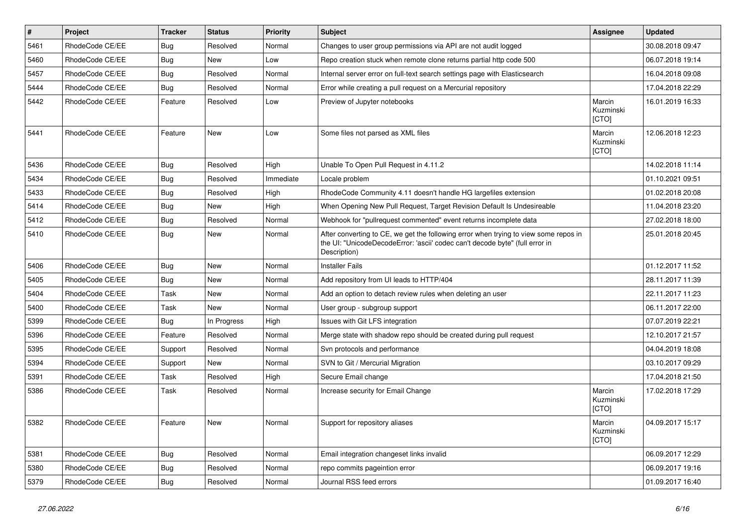| $\vert$ # | Project         | <b>Tracker</b> | <b>Status</b> | <b>Priority</b> | <b>Subject</b>                                                                                                                                                                       | Assignee                     | <b>Updated</b>   |
|-----------|-----------------|----------------|---------------|-----------------|--------------------------------------------------------------------------------------------------------------------------------------------------------------------------------------|------------------------------|------------------|
| 5461      | RhodeCode CE/EE | Bug            | Resolved      | Normal          | Changes to user group permissions via API are not audit logged                                                                                                                       |                              | 30.08.2018 09:47 |
| 5460      | RhodeCode CE/EE | Bug            | <b>New</b>    | Low             | Repo creation stuck when remote clone returns partial http code 500                                                                                                                  |                              | 06.07.2018 19:14 |
| 5457      | RhodeCode CE/EE | Bug            | Resolved      | Normal          | Internal server error on full-text search settings page with Elasticsearch                                                                                                           |                              | 16.04.2018 09:08 |
| 5444      | RhodeCode CE/EE | Bug            | Resolved      | Normal          | Error while creating a pull request on a Mercurial repository                                                                                                                        |                              | 17.04.2018 22:29 |
| 5442      | RhodeCode CE/EE | Feature        | Resolved      | Low             | Preview of Jupyter notebooks                                                                                                                                                         | Marcin<br>Kuzminski<br>[CTO] | 16.01.2019 16:33 |
| 5441      | RhodeCode CE/EE | Feature        | <b>New</b>    | Low             | Some files not parsed as XML files                                                                                                                                                   | Marcin<br>Kuzminski<br>[CTO] | 12.06.2018 12:23 |
| 5436      | RhodeCode CE/EE | <b>Bug</b>     | Resolved      | High            | Unable To Open Pull Request in 4.11.2                                                                                                                                                |                              | 14.02.2018 11:14 |
| 5434      | RhodeCode CE/EE | <b>Bug</b>     | Resolved      | Immediate       | Locale problem                                                                                                                                                                       |                              | 01.10.2021 09:51 |
| 5433      | RhodeCode CE/EE | <b>Bug</b>     | Resolved      | High            | RhodeCode Community 4.11 doesn't handle HG largefiles extension                                                                                                                      |                              | 01.02.2018 20:08 |
| 5414      | RhodeCode CE/EE | Bug            | <b>New</b>    | High            | When Opening New Pull Request, Target Revision Default Is Undesireable                                                                                                               |                              | 11.04.2018 23:20 |
| 5412      | RhodeCode CE/EE | Bug            | Resolved      | Normal          | Webhook for "pullrequest commented" event returns incomplete data                                                                                                                    |                              | 27.02.2018 18:00 |
| 5410      | RhodeCode CE/EE | Bug            | <b>New</b>    | Normal          | After converting to CE, we get the following error when trying to view some repos in<br>the UI: "UnicodeDecodeError: 'ascii' codec can't decode byte" (full error in<br>Description) |                              | 25.01.2018 20:45 |
| 5406      | RhodeCode CE/EE | Bug            | <b>New</b>    | Normal          | <b>Installer Fails</b>                                                                                                                                                               |                              | 01.12.2017 11:52 |
| 5405      | RhodeCode CE/EE | Bug            | <b>New</b>    | Normal          | Add repository from UI leads to HTTP/404                                                                                                                                             |                              | 28.11.2017 11:39 |
| 5404      | RhodeCode CE/EE | Task           | <b>New</b>    | Normal          | Add an option to detach review rules when deleting an user                                                                                                                           |                              | 22.11.2017 11:23 |
| 5400      | RhodeCode CE/EE | Task           | <b>New</b>    | Normal          | User group - subgroup support                                                                                                                                                        |                              | 06.11.2017 22:00 |
| 5399      | RhodeCode CE/EE | <b>Bug</b>     | In Progress   | High            | Issues with Git LFS integration                                                                                                                                                      |                              | 07.07.2019 22:21 |
| 5396      | RhodeCode CE/EE | Feature        | Resolved      | Normal          | Merge state with shadow repo should be created during pull request                                                                                                                   |                              | 12.10.2017 21:57 |
| 5395      | RhodeCode CE/EE | Support        | Resolved      | Normal          | Svn protocols and performance                                                                                                                                                        |                              | 04.04.2019 18:08 |
| 5394      | RhodeCode CE/EE | Support        | <b>New</b>    | Normal          | SVN to Git / Mercurial Migration                                                                                                                                                     |                              | 03.10.2017 09:29 |
| 5391      | RhodeCode CE/EE | Task           | Resolved      | High            | Secure Email change                                                                                                                                                                  |                              | 17.04.2018 21:50 |
| 5386      | RhodeCode CE/EE | Task           | Resolved      | Normal          | Increase security for Email Change                                                                                                                                                   | Marcin<br>Kuzminski<br>[CTO] | 17.02.2018 17:29 |
| 5382      | RhodeCode CE/EE | Feature        | New           | Normal          | Support for repository aliases                                                                                                                                                       | Marcin<br>Kuzminski<br>[CTO] | 04.09.2017 15:17 |
| 5381      | RhodeCode CE/EE | <b>Bug</b>     | Resolved      | Normal          | Email integration changeset links invalid                                                                                                                                            |                              | 06.09.2017 12:29 |
| 5380      | RhodeCode CE/EE | <b>Bug</b>     | Resolved      | Normal          | repo commits pageintion error                                                                                                                                                        |                              | 06.09.2017 19:16 |
| 5379      | RhodeCode CE/EE | <b>Bug</b>     | Resolved      | Normal          | Journal RSS feed errors                                                                                                                                                              |                              | 01.09.2017 16:40 |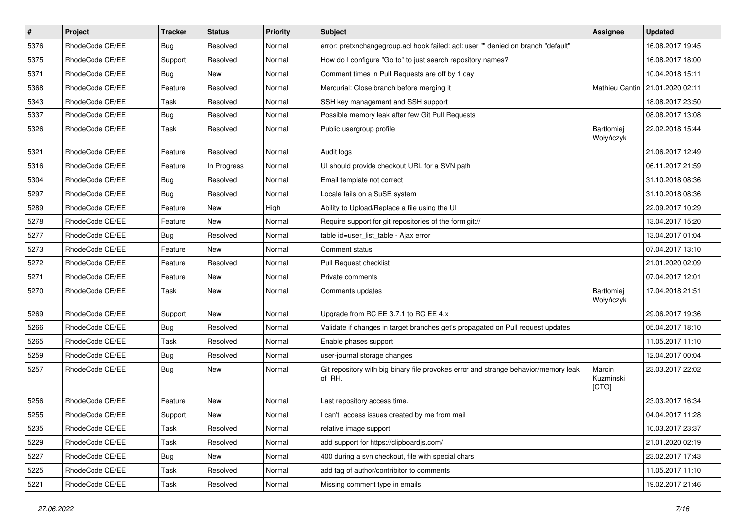| $\pmb{\#}$ | Project         | <b>Tracker</b> | <b>Status</b> | <b>Priority</b> | Subject                                                                                       | <b>Assignee</b>              | <b>Updated</b>   |
|------------|-----------------|----------------|---------------|-----------------|-----------------------------------------------------------------------------------------------|------------------------------|------------------|
| 5376       | RhodeCode CE/EE | Bug            | Resolved      | Normal          | error: pretxnchangegroup.acl hook failed: acl: user "" denied on branch "default"             |                              | 16.08.2017 19:45 |
| 5375       | RhodeCode CE/EE | Support        | Resolved      | Normal          | How do I configure "Go to" to just search repository names?                                   |                              | 16.08.2017 18:00 |
| 5371       | RhodeCode CE/EE | Bug            | New           | Normal          | Comment times in Pull Requests are off by 1 day                                               |                              | 10.04.2018 15:11 |
| 5368       | RhodeCode CE/EE | Feature        | Resolved      | Normal          | Mercurial: Close branch before merging it                                                     | Mathieu Cantin               | 21.01.2020 02:11 |
| 5343       | RhodeCode CE/EE | <b>Task</b>    | Resolved      | Normal          | SSH key management and SSH support                                                            |                              | 18.08.2017 23:50 |
| 5337       | RhodeCode CE/EE | Bug            | Resolved      | Normal          | Possible memory leak after few Git Pull Requests                                              |                              | 08.08.2017 13:08 |
| 5326       | RhodeCode CE/EE | Task           | Resolved      | Normal          | Public usergroup profile                                                                      | Bartłomiej<br>Wołyńczyk      | 22.02.2018 15:44 |
| 5321       | RhodeCode CE/EE | Feature        | Resolved      | Normal          | Audit logs                                                                                    |                              | 21.06.2017 12:49 |
| 5316       | RhodeCode CE/EE | Feature        | In Progress   | Normal          | UI should provide checkout URL for a SVN path                                                 |                              | 06.11.2017 21:59 |
| 5304       | RhodeCode CE/EE | Bug            | Resolved      | Normal          | Email template not correct                                                                    |                              | 31.10.2018 08:36 |
| 5297       | RhodeCode CE/EE | <b>Bug</b>     | Resolved      | Normal          | Locale fails on a SuSE system                                                                 |                              | 31.10.2018 08:36 |
| 5289       | RhodeCode CE/EE | Feature        | <b>New</b>    | High            | Ability to Upload/Replace a file using the UI                                                 |                              | 22.09.2017 10:29 |
| 5278       | RhodeCode CE/EE | Feature        | New           | Normal          | Require support for git repositories of the form git://                                       |                              | 13.04.2017 15:20 |
| 5277       | RhodeCode CE/EE | <b>Bug</b>     | Resolved      | Normal          | table id=user list table - Ajax error                                                         |                              | 13.04.2017 01:04 |
| 5273       | RhodeCode CE/EE | Feature        | <b>New</b>    | Normal          | Comment status                                                                                |                              | 07.04.2017 13:10 |
| 5272       | RhodeCode CE/EE | Feature        | Resolved      | Normal          | Pull Request checklist                                                                        |                              | 21.01.2020 02:09 |
| 5271       | RhodeCode CE/EE | Feature        | <b>New</b>    | Normal          | Private comments                                                                              |                              | 07.04.2017 12:01 |
| 5270       | RhodeCode CE/EE | Task           | New           | Normal          | Comments updates                                                                              | Bartłomiej<br>Wołyńczyk      | 17.04.2018 21:51 |
| 5269       | RhodeCode CE/EE | Support        | New           | Normal          | Upgrade from RC EE 3.7.1 to RC EE 4.x                                                         |                              | 29.06.2017 19:36 |
| 5266       | RhodeCode CE/EE | Bug            | Resolved      | Normal          | Validate if changes in target branches get's propagated on Pull request updates               |                              | 05.04.2017 18:10 |
| 5265       | RhodeCode CE/EE | Task           | Resolved      | Normal          | Enable phases support                                                                         |                              | 11.05.2017 11:10 |
| 5259       | RhodeCode CE/EE | Bug            | Resolved      | Normal          | user-journal storage changes                                                                  |                              | 12.04.2017 00:04 |
| 5257       | RhodeCode CE/EE | Bug            | New           | Normal          | Git repository with big binary file provokes error and strange behavior/memory leak<br>of RH. | Marcin<br>Kuzminski<br>[CTO] | 23.03.2017 22:02 |
| 5256       | RhodeCode CE/EE | Feature        | <b>New</b>    | Normal          | Last repository access time.                                                                  |                              | 23.03.2017 16:34 |
| 5255       | RhodeCode CE/EE | Support        | <b>New</b>    | Normal          | I can't access issues created by me from mail                                                 |                              | 04.04.2017 11:28 |
| 5235       | RhodeCode CE/EE | Task           | Resolved      | Normal          | relative image support                                                                        |                              | 10.03.2017 23:37 |
| 5229       | RhodeCode CE/EE | Task           | Resolved      | Normal          | add support for https://clipboardjs.com/                                                      |                              | 21.01.2020 02:19 |
| 5227       | RhodeCode CE/EE | Bug            | New           | Normal          | 400 during a svn checkout, file with special chars                                            |                              | 23.02.2017 17:43 |
| 5225       | RhodeCode CE/EE | Task           | Resolved      | Normal          | add tag of author/contribitor to comments                                                     |                              | 11.05.2017 11:10 |
| 5221       | RhodeCode CE/EE | Task           | Resolved      | Normal          | Missing comment type in emails                                                                |                              | 19.02.2017 21:46 |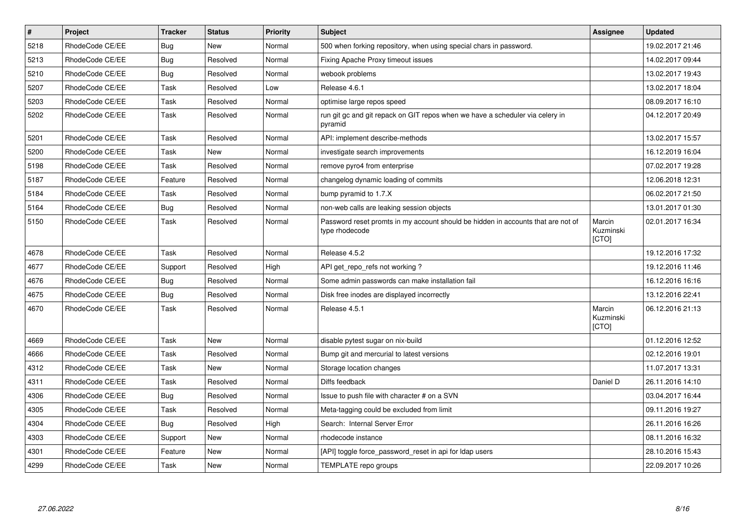| $\vert$ # | Project         | <b>Tracker</b> | <b>Status</b> | <b>Priority</b> | <b>Subject</b>                                                                                     | Assignee                     | <b>Updated</b>   |
|-----------|-----------------|----------------|---------------|-----------------|----------------------------------------------------------------------------------------------------|------------------------------|------------------|
| 5218      | RhodeCode CE/EE | <b>Bug</b>     | <b>New</b>    | Normal          | 500 when forking repository, when using special chars in password.                                 |                              | 19.02.2017 21:46 |
| 5213      | RhodeCode CE/EE | <b>Bug</b>     | Resolved      | Normal          | Fixing Apache Proxy timeout issues                                                                 |                              | 14.02.2017 09:44 |
| 5210      | RhodeCode CE/EE | Bug            | Resolved      | Normal          | webook problems                                                                                    |                              | 13.02.2017 19:43 |
| 5207      | RhodeCode CE/EE | Task           | Resolved      | Low             | Release 4.6.1                                                                                      |                              | 13.02.2017 18:04 |
| 5203      | RhodeCode CE/EE | Task           | Resolved      | Normal          | optimise large repos speed                                                                         |                              | 08.09.2017 16:10 |
| 5202      | RhodeCode CE/EE | Task           | Resolved      | Normal          | run git gc and git repack on GIT repos when we have a scheduler via celery in<br>pyramid           |                              | 04.12.2017 20:49 |
| 5201      | RhodeCode CE/EE | Task           | Resolved      | Normal          | API: implement describe-methods                                                                    |                              | 13.02.2017 15:57 |
| 5200      | RhodeCode CE/EE | Task           | <b>New</b>    | Normal          | investigate search improvements                                                                    |                              | 16.12.2019 16:04 |
| 5198      | RhodeCode CE/EE | Task           | Resolved      | Normal          | remove pyro4 from enterprise                                                                       |                              | 07.02.2017 19:28 |
| 5187      | RhodeCode CE/EE | Feature        | Resolved      | Normal          | changelog dynamic loading of commits                                                               |                              | 12.06.2018 12:31 |
| 5184      | RhodeCode CE/EE | Task           | Resolved      | Normal          | bump pyramid to 1.7.X                                                                              |                              | 06.02.2017 21:50 |
| 5164      | RhodeCode CE/EE | Bug            | Resolved      | Normal          | non-web calls are leaking session objects                                                          |                              | 13.01.2017 01:30 |
| 5150      | RhodeCode CE/EE | Task           | Resolved      | Normal          | Password reset promts in my account should be hidden in accounts that are not of<br>type rhodecode | Marcin<br>Kuzminski<br>[CTO] | 02.01.2017 16:34 |
| 4678      | RhodeCode CE/EE | Task           | Resolved      | Normal          | Release 4.5.2                                                                                      |                              | 19.12.2016 17:32 |
| 4677      | RhodeCode CE/EE | Support        | Resolved      | High            | API get repo refs not working?                                                                     |                              | 19.12.2016 11:46 |
| 4676      | RhodeCode CE/EE | <b>Bug</b>     | Resolved      | Normal          | Some admin passwords can make installation fail                                                    |                              | 16.12.2016 16:16 |
| 4675      | RhodeCode CE/EE | Bug            | Resolved      | Normal          | Disk free inodes are displayed incorrectly                                                         |                              | 13.12.2016 22:41 |
| 4670      | RhodeCode CE/EE | Task           | Resolved      | Normal          | Release 4.5.1                                                                                      | Marcin<br>Kuzminski<br>[CTO] | 06.12.2016 21:13 |
| 4669      | RhodeCode CE/EE | Task           | New           | Normal          | disable pytest sugar on nix-build                                                                  |                              | 01.12.2016 12:52 |
| 4666      | RhodeCode CE/EE | Task           | Resolved      | Normal          | Bump git and mercurial to latest versions                                                          |                              | 02.12.2016 19:01 |
| 4312      | RhodeCode CE/EE | Task           | <b>New</b>    | Normal          | Storage location changes                                                                           |                              | 11.07.2017 13:31 |
| 4311      | RhodeCode CE/EE | Task           | Resolved      | Normal          | Diffs feedback                                                                                     | Daniel D                     | 26.11.2016 14:10 |
| 4306      | RhodeCode CE/EE | Bug            | Resolved      | Normal          | Issue to push file with character # on a SVN                                                       |                              | 03.04.2017 16:44 |
| 4305      | RhodeCode CE/EE | Task           | Resolved      | Normal          | Meta-tagging could be excluded from limit                                                          |                              | 09.11.2016 19:27 |
| 4304      | RhodeCode CE/EE | <b>Bug</b>     | Resolved      | High            | Search: Internal Server Error                                                                      |                              | 26.11.2016 16:26 |
| 4303      | RhodeCode CE/EE | Support        | New           | Normal          | rhodecode instance                                                                                 |                              | 08.11.2016 16:32 |
| 4301      | RhodeCode CE/EE | Feature        | New           | Normal          | [API] toggle force password reset in api for Idap users                                            |                              | 28.10.2016 15:43 |
| 4299      | RhodeCode CE/EE | Task           | <b>New</b>    | Normal          | TEMPLATE repo groups                                                                               |                              | 22.09.2017 10:26 |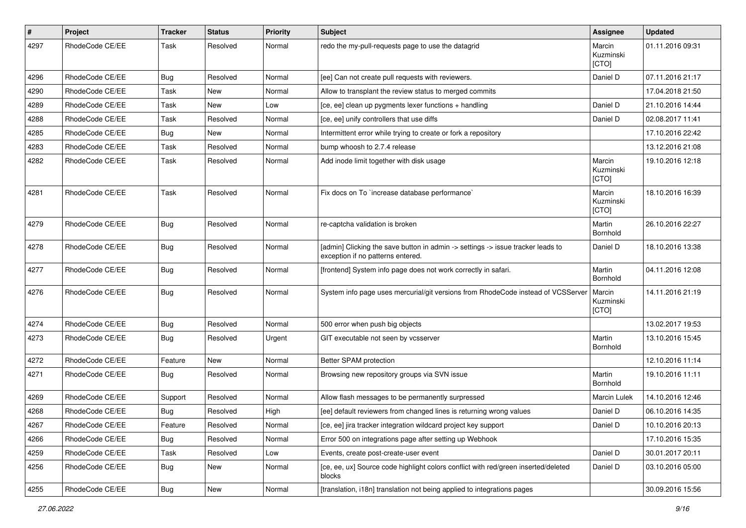| $\pmb{\#}$ | Project         | <b>Tracker</b> | <b>Status</b> | <b>Priority</b> | <b>Subject</b>                                                                                                       | <b>Assignee</b>              | <b>Updated</b>   |
|------------|-----------------|----------------|---------------|-----------------|----------------------------------------------------------------------------------------------------------------------|------------------------------|------------------|
| 4297       | RhodeCode CE/EE | Task           | Resolved      | Normal          | redo the my-pull-requests page to use the datagrid                                                                   | Marcin<br>Kuzminski<br>[CTO] | 01.11.2016 09:31 |
| 4296       | RhodeCode CE/EE | Bug            | Resolved      | Normal          | [ee] Can not create pull requests with reviewers.                                                                    | Daniel D                     | 07.11.2016 21:17 |
| 4290       | RhodeCode CE/EE | Task           | <b>New</b>    | Normal          | Allow to transplant the review status to merged commits                                                              |                              | 17.04.2018 21:50 |
| 4289       | RhodeCode CE/EE | Task           | <b>New</b>    | Low             | [ce, ee] clean up pygments lexer functions + handling                                                                | Daniel D                     | 21.10.2016 14:44 |
| 4288       | RhodeCode CE/EE | Task           | Resolved      | Normal          | [ce, ee] unify controllers that use diffs                                                                            | Daniel D                     | 02.08.2017 11:41 |
| 4285       | RhodeCode CE/EE | <b>Bug</b>     | New           | Normal          | Intermittent error while trying to create or fork a repository                                                       |                              | 17.10.2016 22:42 |
| 4283       | RhodeCode CE/EE | Task           | Resolved      | Normal          | bump whoosh to 2.7.4 release                                                                                         |                              | 13.12.2016 21:08 |
| 4282       | RhodeCode CE/EE | Task           | Resolved      | Normal          | Add inode limit together with disk usage                                                                             | Marcin<br>Kuzminski<br>[CTO] | 19.10.2016 12:18 |
| 4281       | RhodeCode CE/EE | Task           | Resolved      | Normal          | Fix docs on To `increase database performance`                                                                       | Marcin<br>Kuzminski<br>[CTO] | 18.10.2016 16:39 |
| 4279       | RhodeCode CE/EE | Bug            | Resolved      | Normal          | re-captcha validation is broken                                                                                      | Martin<br>Bornhold           | 26.10.2016 22:27 |
| 4278       | RhodeCode CE/EE | <b>Bug</b>     | Resolved      | Normal          | [admin] Clicking the save button in admin -> settings -> issue tracker leads to<br>exception if no patterns entered. | Daniel D                     | 18.10.2016 13:38 |
| 4277       | RhodeCode CE/EE | Bug            | Resolved      | Normal          | [frontend] System info page does not work correctly in safari.                                                       | Martin<br>Bornhold           | 04.11.2016 12:08 |
| 4276       | RhodeCode CE/EE | Bug            | Resolved      | Normal          | System info page uses mercurial/git versions from RhodeCode instead of VCSServer                                     | Marcin<br>Kuzminski<br>[CTO] | 14.11.2016 21:19 |
| 4274       | RhodeCode CE/EE | Bug            | Resolved      | Normal          | 500 error when push big objects                                                                                      |                              | 13.02.2017 19:53 |
| 4273       | RhodeCode CE/EE | Bug            | Resolved      | Urgent          | GIT executable not seen by vcsserver                                                                                 | Martin<br>Bornhold           | 13.10.2016 15:45 |
| 4272       | RhodeCode CE/EE | Feature        | <b>New</b>    | Normal          | Better SPAM protection                                                                                               |                              | 12.10.2016 11:14 |
| 4271       | RhodeCode CE/EE | <b>Bug</b>     | Resolved      | Normal          | Browsing new repository groups via SVN issue                                                                         | Martin<br>Bornhold           | 19.10.2016 11:11 |
| 4269       | RhodeCode CE/EE | Support        | Resolved      | Normal          | Allow flash messages to be permanently surpressed                                                                    | Marcin Lulek                 | 14.10.2016 12:46 |
| 4268       | RhodeCode CE/EE | Bug            | Resolved      | High            | [ee] default reviewers from changed lines is returning wrong values                                                  | Daniel D                     | 06.10.2016 14:35 |
| 4267       | RhodeCode CE/EE | Feature        | Resolved      | Normal          | [ce, ee] jira tracker integration wildcard project key support                                                       | Daniel D                     | 10.10.2016 20:13 |
| 4266       | RhodeCode CE/EE | <b>Bug</b>     | Resolved      | Normal          | Error 500 on integrations page after setting up Webhook                                                              |                              | 17.10.2016 15:35 |
| 4259       | RhodeCode CE/EE | Task           | Resolved      | Low             | Events, create post-create-user event                                                                                | Daniel D                     | 30.01.2017 20:11 |
| 4256       | RhodeCode CE/EE | <b>Bug</b>     | New           | Normal          | [ce, ee, ux] Source code highlight colors conflict with red/green inserted/deleted<br>blocks                         | Daniel D                     | 03.10.2016 05:00 |
| 4255       | RhodeCode CE/EE | <b>Bug</b>     | New           | Normal          | [translation, i18n] translation not being applied to integrations pages                                              |                              | 30.09.2016 15:56 |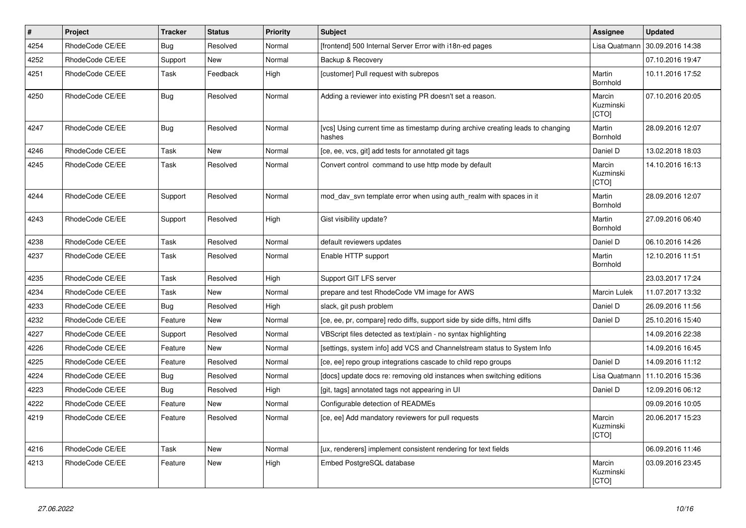| #    | <b>Project</b>  | <b>Tracker</b> | <b>Status</b> | <b>Priority</b> | <b>Subject</b>                                                                            | <b>Assignee</b>              | <b>Updated</b>   |
|------|-----------------|----------------|---------------|-----------------|-------------------------------------------------------------------------------------------|------------------------------|------------------|
| 4254 | RhodeCode CE/EE | <b>Bug</b>     | Resolved      | Normal          | [frontend] 500 Internal Server Error with i18n-ed pages                                   | Lisa Quatmann                | 30.09.2016 14:38 |
| 4252 | RhodeCode CE/EE | Support        | <b>New</b>    | Normal          | Backup & Recovery                                                                         |                              | 07.10.2016 19:47 |
| 4251 | RhodeCode CE/EE | Task           | Feedback      | High            | [customer] Pull request with subrepos                                                     | Martin<br>Bornhold           | 10.11.2016 17:52 |
| 4250 | RhodeCode CE/EE | <b>Bug</b>     | Resolved      | Normal          | Adding a reviewer into existing PR doesn't set a reason.                                  | Marcin<br>Kuzminski<br>[CTO] | 07.10.2016 20:05 |
| 4247 | RhodeCode CE/EE | <b>Bug</b>     | Resolved      | Normal          | [vcs] Using current time as timestamp during archive creating leads to changing<br>hashes | Martin<br>Bornhold           | 28.09.2016 12:07 |
| 4246 | RhodeCode CE/EE | Task           | New           | Normal          | [ce, ee, vcs, git] add tests for annotated git tags                                       | Daniel D                     | 13.02.2018 18:03 |
| 4245 | RhodeCode CE/EE | Task           | Resolved      | Normal          | Convert control command to use http mode by default                                       | Marcin<br>Kuzminski<br>[CTO] | 14.10.2016 16:13 |
| 4244 | RhodeCode CE/EE | Support        | Resolved      | Normal          | mod day syn template error when using auth realm with spaces in it                        | Martin<br>Bornhold           | 28.09.2016 12:07 |
| 4243 | RhodeCode CE/EE | Support        | Resolved      | High            | Gist visibility update?                                                                   | Martin<br>Bornhold           | 27.09.2016 06:40 |
| 4238 | RhodeCode CE/EE | Task           | Resolved      | Normal          | default reviewers updates                                                                 | Daniel D                     | 06.10.2016 14:26 |
| 4237 | RhodeCode CE/EE | Task           | Resolved      | Normal          | Enable HTTP support                                                                       | Martin<br>Bornhold           | 12.10.2016 11:51 |
| 4235 | RhodeCode CE/EE | Task           | Resolved      | High            | Support GIT LFS server                                                                    |                              | 23.03.2017 17:24 |
| 4234 | RhodeCode CE/EE | Task           | <b>New</b>    | Normal          | prepare and test RhodeCode VM image for AWS                                               | <b>Marcin Lulek</b>          | 11.07.2017 13:32 |
| 4233 | RhodeCode CE/EE | <b>Bug</b>     | Resolved      | High            | slack, git push problem                                                                   | Daniel D                     | 26.09.2016 11:56 |
| 4232 | RhodeCode CE/EE | Feature        | <b>New</b>    | Normal          | [ce, ee, pr, compare] redo diffs, support side by side diffs, html diffs                  | Daniel D                     | 25.10.2016 15:40 |
| 4227 | RhodeCode CE/EE | Support        | Resolved      | Normal          | VBScript files detected as text/plain - no syntax highlighting                            |                              | 14.09.2016 22:38 |
| 4226 | RhodeCode CE/EE | Feature        | <b>New</b>    | Normal          | [settings, system info] add VCS and Channelstream status to System Info                   |                              | 14.09.2016 16:45 |
| 4225 | RhodeCode CE/EE | Feature        | Resolved      | Normal          | [ce, ee] repo group integrations cascade to child repo groups                             | Daniel D                     | 14.09.2016 11:12 |
| 4224 | RhodeCode CE/EE | Bug            | Resolved      | Normal          | [docs] update docs re: removing old instances when switching editions                     | Lisa Quatmann                | 11.10.2016 15:36 |
| 4223 | RhodeCode CE/EE | Bug            | Resolved      | High            | [git, tags] annotated tags not appearing in UI                                            | Daniel D                     | 12.09.2016 06:12 |
| 4222 | RhodeCode CE/EE | Feature        | <b>New</b>    | Normal          | Configurable detection of READMEs                                                         |                              | 09.09.2016 10:05 |
| 4219 | RhodeCode CE/EE | Feature        | Resolved      | Normal          | [ce, ee] Add mandatory reviewers for pull requests                                        | Marcin<br>Kuzminski<br>[CTO] | 20.06.2017 15:23 |
| 4216 | RhodeCode CE/EE | Task           | <b>New</b>    | Normal          | [ux, renderers] implement consistent rendering for text fields                            |                              | 06.09.2016 11:46 |
| 4213 | RhodeCode CE/EE | Feature        | <b>New</b>    | High            | Embed PostgreSQL database                                                                 | Marcin<br>Kuzminski<br>[CTO] | 03.09.2016 23:45 |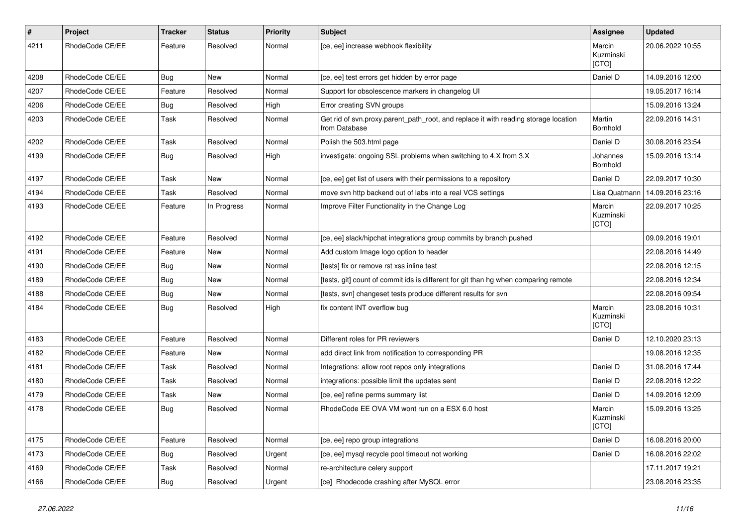| $\pmb{\#}$ | Project         | Tracker    | <b>Status</b> | <b>Priority</b> | <b>Subject</b>                                                                                       | Assignee                     | <b>Updated</b>   |
|------------|-----------------|------------|---------------|-----------------|------------------------------------------------------------------------------------------------------|------------------------------|------------------|
| 4211       | RhodeCode CE/EE | Feature    | Resolved      | Normal          | [ce, ee] increase webhook flexibility                                                                | Marcin<br>Kuzminski<br>[CTO] | 20.06.2022 10:55 |
| 4208       | RhodeCode CE/EE | Bug        | New           | Normal          | [ce, ee] test errors get hidden by error page                                                        | Daniel D                     | 14.09.2016 12:00 |
| 4207       | RhodeCode CE/EE | Feature    | Resolved      | Normal          | Support for obsolescence markers in changelog UI                                                     |                              | 19.05.2017 16:14 |
| 4206       | RhodeCode CE/EE | Bug        | Resolved      | High            | Error creating SVN groups                                                                            |                              | 15.09.2016 13:24 |
| 4203       | RhodeCode CE/EE | Task       | Resolved      | Normal          | Get rid of svn.proxy.parent_path_root, and replace it with reading storage location<br>from Database | Martin<br><b>Bornhold</b>    | 22.09.2016 14:31 |
| 4202       | RhodeCode CE/EE | Task       | Resolved      | Normal          | Polish the 503.html page                                                                             | Daniel D                     | 30.08.2016 23:54 |
| 4199       | RhodeCode CE/EE | Bug        | Resolved      | High            | investigate: ongoing SSL problems when switching to 4.X from 3.X                                     | Johannes<br>Bornhold         | 15.09.2016 13:14 |
| 4197       | RhodeCode CE/EE | Task       | New           | Normal          | [ce, ee] get list of users with their permissions to a repository                                    | Daniel D                     | 22.09.2017 10:30 |
| 4194       | RhodeCode CE/EE | Task       | Resolved      | Normal          | move svn http backend out of labs into a real VCS settings                                           | Lisa Quatmann                | 14.09.2016 23:16 |
| 4193       | RhodeCode CE/EE | Feature    | In Progress   | Normal          | Improve Filter Functionality in the Change Log                                                       | Marcin<br>Kuzminski<br>[CTO] | 22.09.2017 10:25 |
| 4192       | RhodeCode CE/EE | Feature    | Resolved      | Normal          | [ce, ee] slack/hipchat integrations group commits by branch pushed                                   |                              | 09.09.2016 19:01 |
| 4191       | RhodeCode CE/EE | Feature    | New           | Normal          | Add custom Image logo option to header                                                               |                              | 22.08.2016 14:49 |
| 4190       | RhodeCode CE/EE | <b>Bug</b> | New           | Normal          | [tests] fix or remove rst xss inline test                                                            |                              | 22.08.2016 12:15 |
| 4189       | RhodeCode CE/EE | Bug        | New           | Normal          | [tests, git] count of commit ids is different for git than hg when comparing remote                  |                              | 22.08.2016 12:34 |
| 4188       | RhodeCode CE/EE | <b>Bug</b> | New           | Normal          | [tests, svn] changeset tests produce different results for svn                                       |                              | 22.08.2016 09:54 |
| 4184       | RhodeCode CE/EE | <b>Bug</b> | Resolved      | High            | fix content INT overflow bug                                                                         | Marcin<br>Kuzminski<br>[CTO] | 23.08.2016 10:31 |
| 4183       | RhodeCode CE/EE | Feature    | Resolved      | Normal          | Different roles for PR reviewers                                                                     | Daniel D                     | 12.10.2020 23:13 |
| 4182       | RhodeCode CE/EE | Feature    | New           | Normal          | add direct link from notification to corresponding PR                                                |                              | 19.08.2016 12:35 |
| 4181       | RhodeCode CE/EE | Task       | Resolved      | Normal          | Integrations: allow root repos only integrations                                                     | Daniel D                     | 31.08.2016 17:44 |
| 4180       | RhodeCode CE/EE | Task       | Resolved      | Normal          | integrations: possible limit the updates sent                                                        | Daniel D                     | 22.08.2016 12:22 |
| 4179       | RhodeCode CE/EE | Task       | New           | Normal          | [ce, ee] refine perms summary list                                                                   | Daniel D                     | 14.09.2016 12:09 |
| 4178       | RhodeCode CE/EE | Bug        | Resolved      | Normal          | RhodeCode EE OVA VM wont run on a ESX 6.0 host                                                       | Marcin<br>Kuzminski<br>[CTO] | 15.09.2016 13:25 |
| 4175       | RhodeCode CE/EE | Feature    | Resolved      | Normal          | [ce, ee] repo group integrations                                                                     | Daniel D                     | 16.08.2016 20:00 |
| 4173       | RhodeCode CE/EE | Bug        | Resolved      | Urgent          | [ce, ee] mysql recycle pool timeout not working                                                      | Daniel D                     | 16.08.2016 22:02 |
| 4169       | RhodeCode CE/EE | Task       | Resolved      | Normal          | re-architecture celery support                                                                       |                              | 17.11.2017 19:21 |
| 4166       | RhodeCode CE/EE | Bug        | Resolved      | Urgent          | [ce] Rhodecode crashing after MySQL error                                                            |                              | 23.08.2016 23:35 |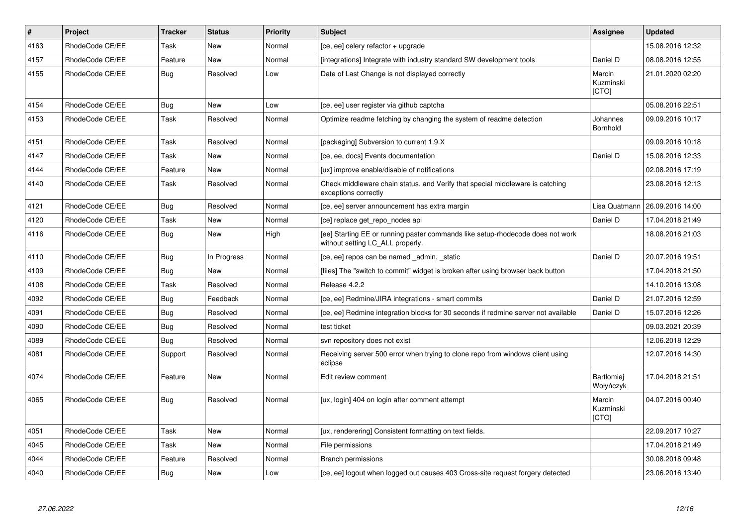| $\vert$ # | Project         | <b>Tracker</b> | <b>Status</b> | <b>Priority</b> | <b>Subject</b>                                                                                                     | Assignee                            | <b>Updated</b>   |
|-----------|-----------------|----------------|---------------|-----------------|--------------------------------------------------------------------------------------------------------------------|-------------------------------------|------------------|
| 4163      | RhodeCode CE/EE | Task           | <b>New</b>    | Normal          | [ce, ee] celery refactor + upgrade                                                                                 |                                     | 15.08.2016 12:32 |
| 4157      | RhodeCode CE/EE | Feature        | <b>New</b>    | Normal          | [integrations] Integrate with industry standard SW development tools                                               | Daniel D                            | 08.08.2016 12:55 |
| 4155      | RhodeCode CE/EE | Bug            | Resolved      | Low             | Date of Last Change is not displayed correctly                                                                     | Marcin<br>Kuzminski<br>[CTO]        | 21.01.2020 02:20 |
| 4154      | RhodeCode CE/EE | Bug            | <b>New</b>    | Low             | [ce, ee] user register via github captcha                                                                          |                                     | 05.08.2016 22:51 |
| 4153      | RhodeCode CE/EE | Task           | Resolved      | Normal          | Optimize readme fetching by changing the system of readme detection                                                | Johannes<br>Bornhold                | 09.09.2016 10:17 |
| 4151      | RhodeCode CE/EE | Task           | Resolved      | Normal          | [packaging] Subversion to current 1.9.X                                                                            |                                     | 09.09.2016 10:18 |
| 4147      | RhodeCode CE/EE | Task           | <b>New</b>    | Normal          | [ce, ee, docs] Events documentation                                                                                | Daniel D                            | 15.08.2016 12:33 |
| 4144      | RhodeCode CE/EE | Feature        | <b>New</b>    | Normal          | [ux] improve enable/disable of notifications                                                                       |                                     | 02.08.2016 17:19 |
| 4140      | RhodeCode CE/EE | Task           | Resolved      | Normal          | Check middleware chain status, and Verify that special middleware is catching<br>exceptions correctly              |                                     | 23.08.2016 12:13 |
| 4121      | RhodeCode CE/EE | <b>Bug</b>     | Resolved      | Normal          | [ce, ee] server announcement has extra margin                                                                      | Lisa Quatmann                       | 26.09.2016 14:00 |
| 4120      | RhodeCode CE/EE | Task           | New           | Normal          | [ce] replace get_repo_nodes api                                                                                    | Daniel D                            | 17.04.2018 21:49 |
| 4116      | RhodeCode CE/EE | Bug            | <b>New</b>    | High            | [ee] Starting EE or running paster commands like setup-rhodecode does not work<br>without setting LC_ALL properly. |                                     | 18.08.2016 21:03 |
| 4110      | RhodeCode CE/EE | Bug            | In Progress   | Normal          | [ce, ee] repos can be named admin, static                                                                          | Daniel D                            | 20.07.2016 19:51 |
| 4109      | RhodeCode CE/EE | Bug            | <b>New</b>    | Normal          | [files] The "switch to commit" widget is broken after using browser back button                                    |                                     | 17.04.2018 21:50 |
| 4108      | RhodeCode CE/EE | Task           | Resolved      | Normal          | Release 4.2.2                                                                                                      |                                     | 14.10.2016 13:08 |
| 4092      | RhodeCode CE/EE | Bug            | Feedback      | Normal          | [ce, ee] Redmine/JIRA integrations - smart commits                                                                 | Daniel D                            | 21.07.2016 12:59 |
| 4091      | RhodeCode CE/EE | Bug            | Resolved      | Normal          | [ce, ee] Redmine integration blocks for 30 seconds if redmine server not available                                 | Daniel D                            | 15.07.2016 12:26 |
| 4090      | RhodeCode CE/EE | <b>Bug</b>     | Resolved      | Normal          | test ticket                                                                                                        |                                     | 09.03.2021 20:39 |
| 4089      | RhodeCode CE/EE | Bug            | Resolved      | Normal          | svn repository does not exist                                                                                      |                                     | 12.06.2018 12:29 |
| 4081      | RhodeCode CE/EE | Support        | Resolved      | Normal          | Receiving server 500 error when trying to clone repo from windows client using<br>eclipse                          |                                     | 12.07.2016 14:30 |
| 4074      | RhodeCode CE/EE | Feature        | <b>New</b>    | Normal          | Edit review comment                                                                                                | Bartłomiej<br>Wołyńczyk             | 17.04.2018 21:51 |
| 4065      | RhodeCode CE/EE | Bug            | Resolved      | Normal          | [ux, login] 404 on login after comment attempt                                                                     | Marcin<br>Kuzminski<br><b>[CTO]</b> | 04.07.2016 00:40 |
| 4051      | RhodeCode CE/EE | Task           | New           | Normal          | [ux, renderering] Consistent formatting on text fields.                                                            |                                     | 22.09.2017 10:27 |
| 4045      | RhodeCode CE/EE | Task           | <b>New</b>    | Normal          | File permissions                                                                                                   |                                     | 17.04.2018 21:49 |
| 4044      | RhodeCode CE/EE | Feature        | Resolved      | Normal          | <b>Branch permissions</b>                                                                                          |                                     | 30.08.2018 09:48 |
| 4040      | RhodeCode CE/EE | Bug            | <b>New</b>    | Low             | [ce, ee] logout when logged out causes 403 Cross-site request forgery detected                                     |                                     | 23.06.2016 13:40 |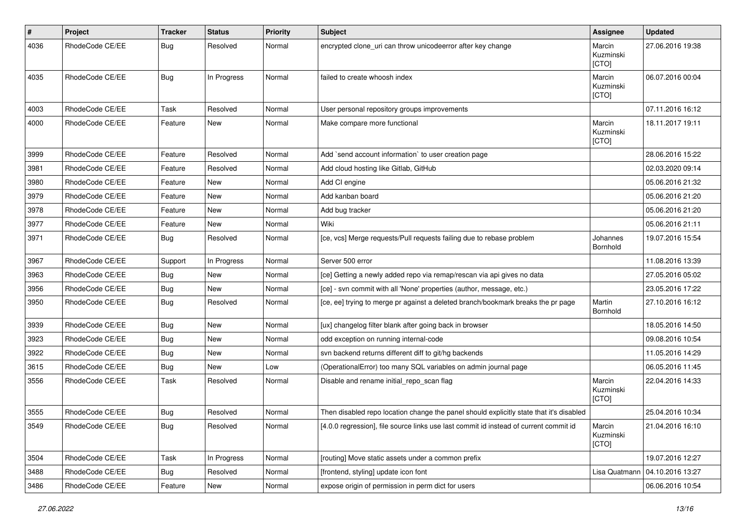| $\sharp$ | Project         | <b>Tracker</b> | <b>Status</b> | <b>Priority</b> | <b>Subject</b>                                                                          | <b>Assignee</b>              | <b>Updated</b>   |
|----------|-----------------|----------------|---------------|-----------------|-----------------------------------------------------------------------------------------|------------------------------|------------------|
| 4036     | RhodeCode CE/EE | Bug            | Resolved      | Normal          | encrypted clone_uri can throw unicodeerror after key change                             | Marcin<br>Kuzminski<br>[CTO] | 27.06.2016 19:38 |
| 4035     | RhodeCode CE/EE | Bug            | In Progress   | Normal          | failed to create whoosh index                                                           | Marcin<br>Kuzminski<br>[CTO] | 06.07.2016 00:04 |
| 4003     | RhodeCode CE/EE | Task           | Resolved      | Normal          | User personal repository groups improvements                                            |                              | 07.11.2016 16:12 |
| 4000     | RhodeCode CE/EE | Feature        | New           | Normal          | Make compare more functional                                                            | Marcin<br>Kuzminski<br>[CTO] | 18.11.2017 19:11 |
| 3999     | RhodeCode CE/EE | Feature        | Resolved      | Normal          | Add `send account information` to user creation page                                    |                              | 28.06.2016 15:22 |
| 3981     | RhodeCode CE/EE | Feature        | Resolved      | Normal          | Add cloud hosting like Gitlab, GitHub                                                   |                              | 02.03.2020 09:14 |
| 3980     | RhodeCode CE/EE | Feature        | <b>New</b>    | Normal          | Add CI engine                                                                           |                              | 05.06.2016 21:32 |
| 3979     | RhodeCode CE/EE | Feature        | New           | Normal          | Add kanban board                                                                        |                              | 05.06.2016 21:20 |
| 3978     | RhodeCode CE/EE | Feature        | New           | Normal          | Add bug tracker                                                                         |                              | 05.06.2016 21:20 |
| 3977     | RhodeCode CE/EE | Feature        | New           | Normal          | Wiki                                                                                    |                              | 05.06.2016 21:11 |
| 3971     | RhodeCode CE/EE | Bug            | Resolved      | Normal          | [ce, vcs] Merge requests/Pull requests failing due to rebase problem                    | Johannes<br>Bornhold         | 19.07.2016 15:54 |
| 3967     | RhodeCode CE/EE | Support        | In Progress   | Normal          | Server 500 error                                                                        |                              | 11.08.2016 13:39 |
| 3963     | RhodeCode CE/EE | Bug            | <b>New</b>    | Normal          | [ce] Getting a newly added repo via remap/rescan via api gives no data                  |                              | 27.05.2016 05:02 |
| 3956     | RhodeCode CE/EE | Bug            | <b>New</b>    | Normal          | [ce] - svn commit with all 'None' properties (author, message, etc.)                    |                              | 23.05.2016 17:22 |
| 3950     | RhodeCode CE/EE | Bug            | Resolved      | Normal          | [ce, ee] trying to merge pr against a deleted branch/bookmark breaks the pr page        | Martin<br>Bornhold           | 27.10.2016 16:12 |
| 3939     | RhodeCode CE/EE | Bug            | <b>New</b>    | Normal          | [ux] changelog filter blank after going back in browser                                 |                              | 18.05.2016 14:50 |
| 3923     | RhodeCode CE/EE | Bug            | New           | Normal          | odd exception on running internal-code                                                  |                              | 09.08.2016 10:54 |
| 3922     | RhodeCode CE/EE | Bug            | <b>New</b>    | Normal          | svn backend returns different diff to git/hg backends                                   |                              | 11.05.2016 14:29 |
| 3615     | RhodeCode CE/EE | <b>Bug</b>     | New           | Low             | (OperationalError) too many SQL variables on admin journal page                         |                              | 06.05.2016 11:45 |
| 3556     | RhodeCode CE/EE | Task           | Resolved      | Normal          | Disable and rename initial_repo_scan flag                                               | Marcin<br>Kuzminski<br>[CTO] | 22.04.2016 14:33 |
| 3555     | RhodeCode CE/EE | Bug            | Resolved      | Normal          | Then disabled repo location change the panel should explicitly state that it's disabled |                              | 25.04.2016 10:34 |
| 3549     | RhodeCode CE/EE | Bug            | Resolved      | Normal          | [4.0.0 regression], file source links use last commit id instead of current commit id   | Marcin<br>Kuzminski<br>[CTO] | 21.04.2016 16:10 |
| 3504     | RhodeCode CE/EE | Task           | In Progress   | Normal          | [routing] Move static assets under a common prefix                                      |                              | 19.07.2016 12:27 |
| 3488     | RhodeCode CE/EE | Bug            | Resolved      | Normal          | [frontend, styling] update icon font                                                    | Lisa Quatmann                | 04.10.2016 13:27 |
| 3486     | RhodeCode CE/EE | Feature        | New           | Normal          | expose origin of permission in perm dict for users                                      |                              | 06.06.2016 10:54 |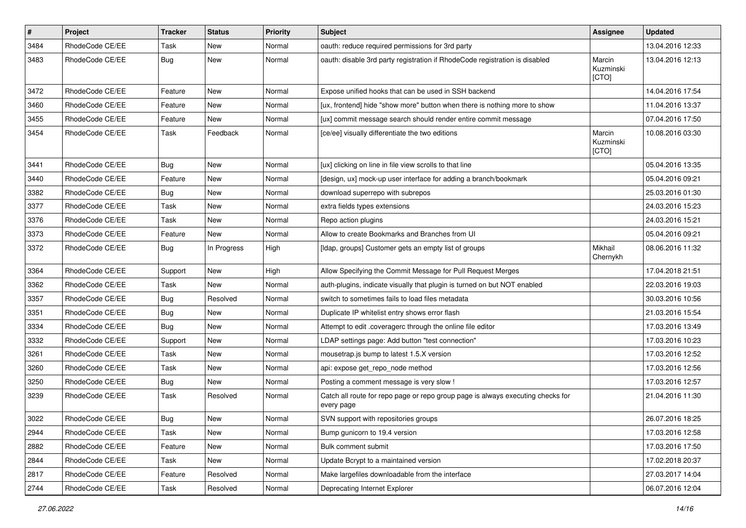| $\vert$ # | Project         | Tracker    | <b>Status</b> | <b>Priority</b> | <b>Subject</b>                                                                                | Assignee                     | <b>Updated</b>   |
|-----------|-----------------|------------|---------------|-----------------|-----------------------------------------------------------------------------------------------|------------------------------|------------------|
| 3484      | RhodeCode CE/EE | Task       | New           | Normal          | oauth: reduce required permissions for 3rd party                                              |                              | 13.04.2016 12:33 |
| 3483      | RhodeCode CE/EE | <b>Bug</b> | <b>New</b>    | Normal          | oauth: disable 3rd party registration if RhodeCode registration is disabled                   | Marcin<br>Kuzminski<br>[CTO] | 13.04.2016 12:13 |
| 3472      | RhodeCode CE/EE | Feature    | <b>New</b>    | Normal          | Expose unified hooks that can be used in SSH backend                                          |                              | 14.04.2016 17:54 |
| 3460      | RhodeCode CE/EE | Feature    | New           | Normal          | [ux, frontend] hide "show more" button when there is nothing more to show                     |                              | 11.04.2016 13:37 |
| 3455      | RhodeCode CE/EE | Feature    | New           | Normal          | [ux] commit message search should render entire commit message                                |                              | 07.04.2016 17:50 |
| 3454      | RhodeCode CE/EE | Task       | Feedback      | Normal          | [ce/ee] visually differentiate the two editions                                               | Marcin<br>Kuzminski<br>[CTO] | 10.08.2016 03:30 |
| 3441      | RhodeCode CE/EE | Bug        | New           | Normal          | [ux] clicking on line in file view scrolls to that line                                       |                              | 05.04.2016 13:35 |
| 3440      | RhodeCode CE/EE | Feature    | New           | Normal          | [design, ux] mock-up user interface for adding a branch/bookmark                              |                              | 05.04.2016 09:21 |
| 3382      | RhodeCode CE/EE | Bug        | New           | Normal          | download superrepo with subrepos                                                              |                              | 25.03.2016 01:30 |
| 3377      | RhodeCode CE/EE | Task       | New           | Normal          | extra fields types extensions                                                                 |                              | 24.03.2016 15:23 |
| 3376      | RhodeCode CE/EE | Task       | New           | Normal          | Repo action plugins                                                                           |                              | 24.03.2016 15:21 |
| 3373      | RhodeCode CE/EE | Feature    | New           | Normal          | Allow to create Bookmarks and Branches from UI                                                |                              | 05.04.2016 09:21 |
| 3372      | RhodeCode CE/EE | Bug        | In Progress   | High            | [Idap, groups] Customer gets an empty list of groups                                          | Mikhail<br>Chernykh          | 08.06.2016 11:32 |
| 3364      | RhodeCode CE/EE | Support    | New           | High            | Allow Specifying the Commit Message for Pull Request Merges                                   |                              | 17.04.2018 21:51 |
| 3362      | RhodeCode CE/EE | Task       | New           | Normal          | auth-plugins, indicate visually that plugin is turned on but NOT enabled                      |                              | 22.03.2016 19:03 |
| 3357      | RhodeCode CE/EE | Bug        | Resolved      | Normal          | switch to sometimes fails to load files metadata                                              |                              | 30.03.2016 10:56 |
| 3351      | RhodeCode CE/EE | <b>Bug</b> | New           | Normal          | Duplicate IP whitelist entry shows error flash                                                |                              | 21.03.2016 15:54 |
| 3334      | RhodeCode CE/EE | Bug        | <b>New</b>    | Normal          | Attempt to edit .coveragerc through the online file editor                                    |                              | 17.03.2016 13:49 |
| 3332      | RhodeCode CE/EE | Support    | New           | Normal          | LDAP settings page: Add button "test connection"                                              |                              | 17.03.2016 10:23 |
| 3261      | RhodeCode CE/EE | Task       | New           | Normal          | mousetrap.js bump to latest 1.5.X version                                                     |                              | 17.03.2016 12:52 |
| 3260      | RhodeCode CE/EE | Task       | <b>New</b>    | Normal          | api: expose get_repo_node method                                                              |                              | 17.03.2016 12:56 |
| 3250      | RhodeCode CE/EE | Bug        | New           | Normal          | Posting a comment message is very slow !                                                      |                              | 17.03.2016 12:57 |
| 3239      | RhodeCode CE/EE | Task       | Resolved      | Normal          | Catch all route for repo page or repo group page is always executing checks for<br>every page |                              | 21.04.2016 11:30 |
| 3022      | RhodeCode CE/EE | Bug        | New           | Normal          | SVN support with repositories groups                                                          |                              | 26.07.2016 18:25 |
| 2944      | RhodeCode CE/EE | Task       | New           | Normal          | Bump gunicorn to 19.4 version                                                                 |                              | 17.03.2016 12:58 |
| 2882      | RhodeCode CE/EE | Feature    | New           | Normal          | Bulk comment submit                                                                           |                              | 17.03.2016 17:50 |
| 2844      | RhodeCode CE/EE | Task       | New           | Normal          | Update Bcrypt to a maintained version                                                         |                              | 17.02.2018 20:37 |
| 2817      | RhodeCode CE/EE | Feature    | Resolved      | Normal          | Make largefiles downloadable from the interface                                               |                              | 27.03.2017 14:04 |
| 2744      | RhodeCode CE/EE | Task       | Resolved      | Normal          | Deprecating Internet Explorer                                                                 |                              | 06.07.2016 12:04 |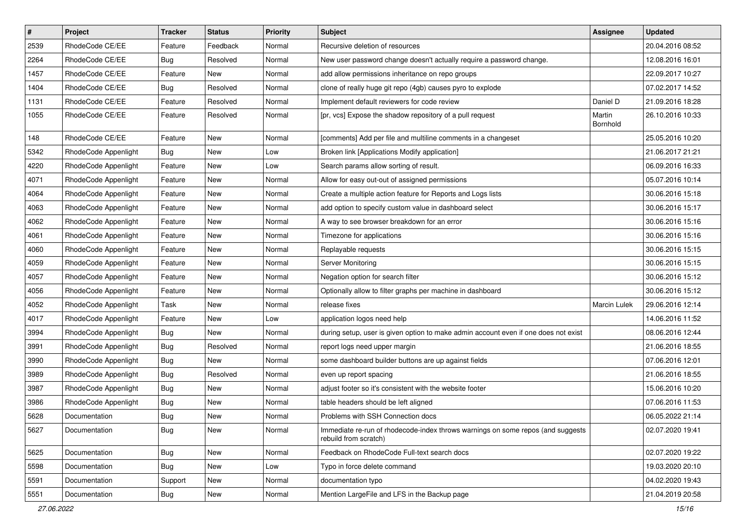| $\vert$ # | Project              | <b>Tracker</b> | <b>Status</b> | <b>Priority</b> | <b>Subject</b>                                                                                           | <b>Assignee</b>    | <b>Updated</b>   |
|-----------|----------------------|----------------|---------------|-----------------|----------------------------------------------------------------------------------------------------------|--------------------|------------------|
| 2539      | RhodeCode CE/EE      | Feature        | Feedback      | Normal          | Recursive deletion of resources                                                                          |                    | 20.04.2016 08:52 |
| 2264      | RhodeCode CE/EE      | Bug            | Resolved      | Normal          | New user password change doesn't actually require a password change.                                     |                    | 12.08.2016 16:01 |
| 1457      | RhodeCode CE/EE      | Feature        | New           | Normal          | add allow permissions inheritance on repo groups                                                         |                    | 22.09.2017 10:27 |
| 1404      | RhodeCode CE/EE      | <b>Bug</b>     | Resolved      | Normal          | clone of really huge git repo (4gb) causes pyro to explode                                               |                    | 07.02.2017 14:52 |
| 1131      | RhodeCode CE/EE      | Feature        | Resolved      | Normal          | Implement default reviewers for code review                                                              | Daniel D           | 21.09.2016 18:28 |
| 1055      | RhodeCode CE/EE      | Feature        | Resolved      | Normal          | [pr, vcs] Expose the shadow repository of a pull request                                                 | Martin<br>Bornhold | 26.10.2016 10:33 |
| 148       | RhodeCode CE/EE      | Feature        | New           | Normal          | [comments] Add per file and multiline comments in a changeset                                            |                    | 25.05.2016 10:20 |
| 5342      | RhodeCode Appenlight | Bug            | New           | Low             | Broken link [Applications Modify application]                                                            |                    | 21.06.2017 21:21 |
| 4220      | RhodeCode Appenlight | Feature        | <b>New</b>    | Low             | Search params allow sorting of result.                                                                   |                    | 06.09.2016 16:33 |
| 4071      | RhodeCode Appenlight | Feature        | New           | Normal          | Allow for easy out-out of assigned permissions                                                           |                    | 05.07.2016 10:14 |
| 4064      | RhodeCode Appenlight | Feature        | New           | Normal          | Create a multiple action feature for Reports and Logs lists                                              |                    | 30.06.2016 15:18 |
| 4063      | RhodeCode Appenlight | Feature        | New           | Normal          | add option to specify custom value in dashboard select                                                   |                    | 30.06.2016 15:17 |
| 4062      | RhodeCode Appenlight | Feature        | New           | Normal          | A way to see browser breakdown for an error                                                              |                    | 30.06.2016 15:16 |
| 4061      | RhodeCode Appenlight | Feature        | New           | Normal          | Timezone for applications                                                                                |                    | 30.06.2016 15:16 |
| 4060      | RhodeCode Appenlight | Feature        | New           | Normal          | Replayable requests                                                                                      |                    | 30.06.2016 15:15 |
| 4059      | RhodeCode Appenlight | Feature        | New           | Normal          | Server Monitoring                                                                                        |                    | 30.06.2016 15:15 |
| 4057      | RhodeCode Appenlight | Feature        | New           | Normal          | Negation option for search filter                                                                        |                    | 30.06.2016 15:12 |
| 4056      | RhodeCode Appenlight | Feature        | New           | Normal          | Optionally allow to filter graphs per machine in dashboard                                               |                    | 30.06.2016 15:12 |
| 4052      | RhodeCode Appenlight | Task           | New           | Normal          | release fixes                                                                                            | Marcin Lulek       | 29.06.2016 12:14 |
| 4017      | RhodeCode Appenlight | Feature        | New           | Low             | application logos need help                                                                              |                    | 14.06.2016 11:52 |
| 3994      | RhodeCode Appenlight | Bug            | New           | Normal          | during setup, user is given option to make admin account even if one does not exist                      |                    | 08.06.2016 12:44 |
| 3991      | RhodeCode Appenlight | Bug            | Resolved      | Normal          | report logs need upper margin                                                                            |                    | 21.06.2016 18:55 |
| 3990      | RhodeCode Appenlight | <b>Bug</b>     | New           | Normal          | some dashboard builder buttons are up against fields                                                     |                    | 07.06.2016 12:01 |
| 3989      | RhodeCode Appenlight | <b>Bug</b>     | Resolved      | Normal          | even up report spacing                                                                                   |                    | 21.06.2016 18:55 |
| 3987      | RhodeCode Appenlight | Bug            | New           | Normal          | adjust footer so it's consistent with the website footer                                                 |                    | 15.06.2016 10:20 |
| 3986      | RhodeCode Appenlight | <b>Bug</b>     | New           | Normal          | table headers should be left aligned                                                                     |                    | 07.06.2016 11:53 |
| 5628      | Documentation        | <b>Bug</b>     | New           | Normal          | Problems with SSH Connection docs                                                                        |                    | 06.05.2022 21:14 |
| 5627      | Documentation        | Bug            | New           | Normal          | Immediate re-run of rhodecode-index throws warnings on some repos (and suggests<br>rebuild from scratch) |                    | 02.07.2020 19:41 |
| 5625      | Documentation        | <b>Bug</b>     | New           | Normal          | Feedback on RhodeCode Full-text search docs                                                              |                    | 02.07.2020 19:22 |
| 5598      | Documentation        | <b>Bug</b>     | New           | Low             | Typo in force delete command                                                                             |                    | 19.03.2020 20:10 |
| 5591      | Documentation        | Support        | New           | Normal          | documentation typo                                                                                       |                    | 04.02.2020 19:43 |
| 5551      | Documentation        | <b>Bug</b>     | New           | Normal          | Mention LargeFile and LFS in the Backup page                                                             |                    | 21.04.2019 20:58 |